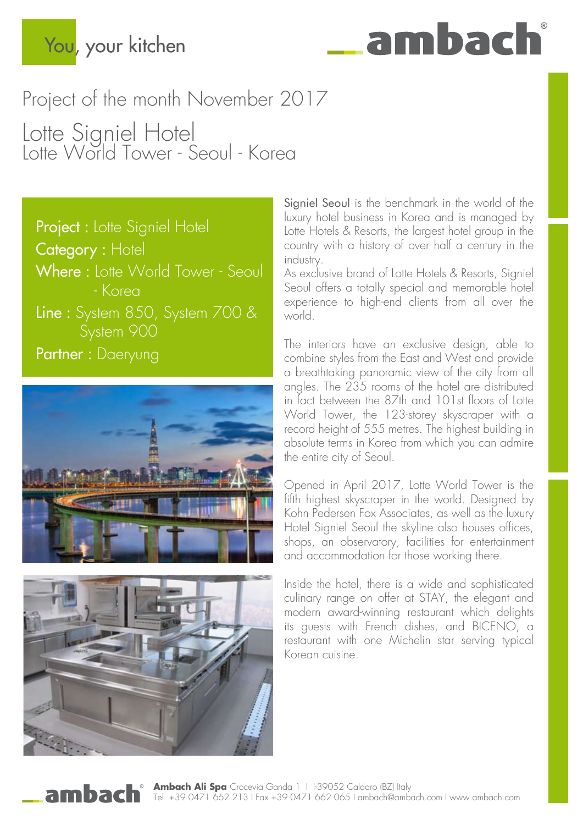## You, your kitchen

# ambac

## Project of the month November 2017

Lotte Signiel Hotel Lotte World Tower - Seoul - Korea

Project : Lotte Signiel Hotel Category : Hotel Where : Lotte World Tower - Seoul - Korea Line : System 850, System 700 & System 900 Partner : Daeryung





Signiel Seoul is the benchmark in the world of the luxury hotel business in Korea and is managed by Lotte Hotels & Resorts, the largest hotel group in the country with a history of over half a century in the industry.

As exclusive brand of Lotte Hotels & Resorts, Signiel Seoul offers a totally special and memorable hotel experience to high-end clients from all over the world.

The interiors have an exclusive design, able to combine styles from the East and West and provide a breathtaking panoramic view of the city from all angles. The 235 rooms of the hotel are distributed in fact between the 87th and 101st floors of Lotte World Tower, the 123-storey skyscraper with a record height of 555 metres. The highest building in absolute terms in Korea from which you can admire the entire city of Seoul.

Opened in April 2017, Lotte World Tower is the fifth highest skyscraper in the world. Designed by Kohn Pedersen Fox Associates, as well as the luxury Hotel Signiel Seoul the skyline also houses offices, shops, an observatory, facilities for entertainment and accommodation for those working there.

Inside the hotel, there is a wide and sophisticated culinary range on offer at STAY, the elegant and modern award-winning restaurant which delights its guests with French dishes, and BICENO, a restaurant with one Michelin star serving typical Korean cuisine.

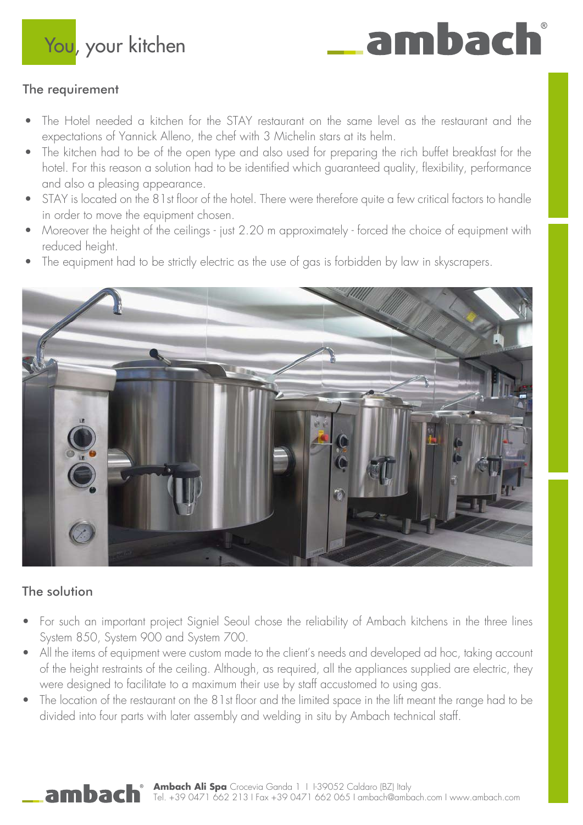You, your kitchen

### The requirement

The Hotel needed a kitchen for the STAY restaurant on the same level as the restaurant and the expectations of Yannick Alleno, the chef with 3 Michelin stars at its helm.

ambac

- The kitchen had to be of the open type and also used for preparing the rich buffet breakfast for the hotel. For this reason a solution had to be identified which guaranteed quality, flexibility, performance and also a pleasing appearance.
- STAY is located on the 81st floor of the hotel. There were therefore quite a few critical factors to handle in order to move the equipment chosen.
- Moreover the height of the ceilings just 2.20 m approximately forced the choice of equipment with reduced height.
- The equipment had to be strictly electric as the use of gas is forbidden by law in skyscrapers.



#### The solution

ambach

- For such an important project Signiel Seoul chose the reliability of Ambach kitchens in the three lines System 850, System 900 and System 700.
- All the items of equipment were custom made to the client's needs and developed ad hoc, taking account of the height restraints of the ceiling. Although, as required, all the appliances supplied are electric, they were designed to facilitate to a maximum their use by staff accustomed to using gas.
- The location of the restaurant on the 81st floor and the limited space in the lift meant the range had to be divided into four parts with later assembly and welding in situ by Ambach technical staff.